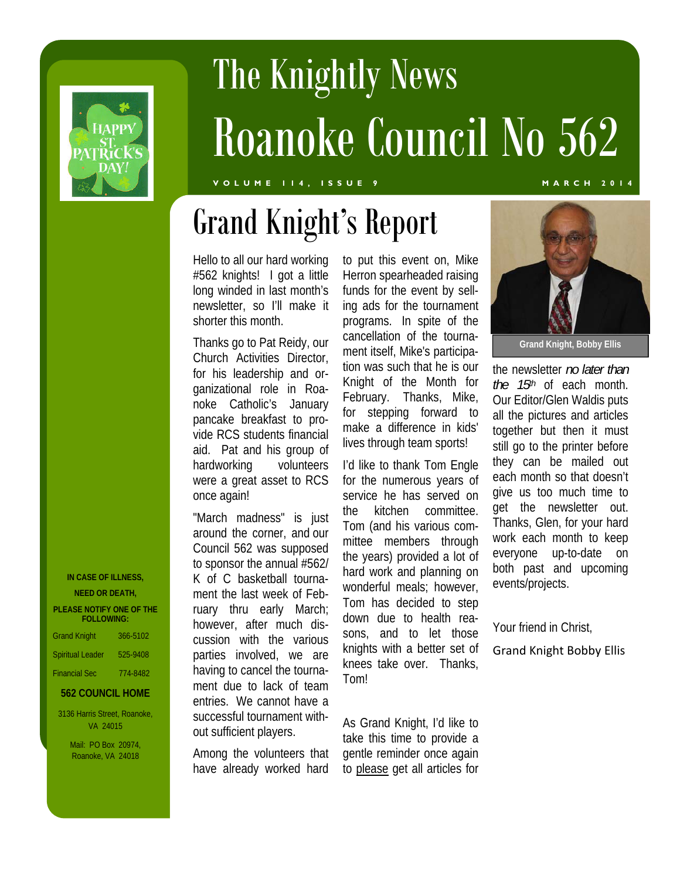

# The Knightly News Roanoke Council No 562

#### **VOLUME 114, ISSUE 9 MARCH 2014**

## Grand Knight's Report

Hello to all our hard working #562 knights! I got a little long winded in last month's newsletter, so I'll make it shorter this month.

Thanks go to Pat Reidy, our Church Activities Director, for his leadership and organizational role in Roanoke Catholic's January pancake breakfast to provide RCS students financial aid. Pat and his group of hardworking volunteers were a great asset to RCS once again!

"March madness" is just around the corner, and our Council 562 was supposed to sponsor the annual #562/ K of C basketball tournament the last week of February thru early March; however, after much discussion with the various parties involved, we are having to cancel the tournament due to lack of team entries. We cannot have a successful tournament without sufficient players.

Among the volunteers that have already worked hard to put this event on, Mike Herron spearheaded raising funds for the event by selling ads for the tournament programs. In spite of the cancellation of the tournament itself, Mike's participation was such that he is our Knight of the Month for February. Thanks, Mike, for stepping forward to make a difference in kids' lives through team sports!

I'd like to thank Tom Engle for the numerous years of service he has served on the kitchen committee. Tom (and his various committee members through the years) provided a lot of hard work and planning on wonderful meals; however, Tom has decided to step down due to health reasons, and to let those knights with a better set of knees take over. Thanks, Tom!

As Grand Knight, I'd like to take this time to provide a gentle reminder once again to please get all articles for



**Grand Knight, Bobby Ellis** 

the newsletter *no later than the 15th* of each month. Our Editor/Glen Waldis puts all the pictures and articles together but then it must still go to the printer before they can be mailed out each month so that doesn't give us too much time to get the newsletter out. Thanks, Glen, for your hard work each month to keep everyone up-to-date on both past and upcoming events/projects.

Your friend in Christ,

Grand Knight Bobby Ellis

|  | IN CASE OF ILLNESS, |
|--|---------------------|
|  |                     |

**NEED OR DEATH, PLEASE NOTIFY ONE OF THE FOLLOWING:** 

| <b>Grand Knight</b>     | 366-5102 |
|-------------------------|----------|
| <b>Spiritual Leader</b> | 525-9408 |
| <b>Financial Sec</b>    | 774-8482 |

#### **562 COUNCIL HOME**

3136 Harris Street, Roanoke, VA 24015

> Mail: PO Box 20974, Roanoke, VA 24018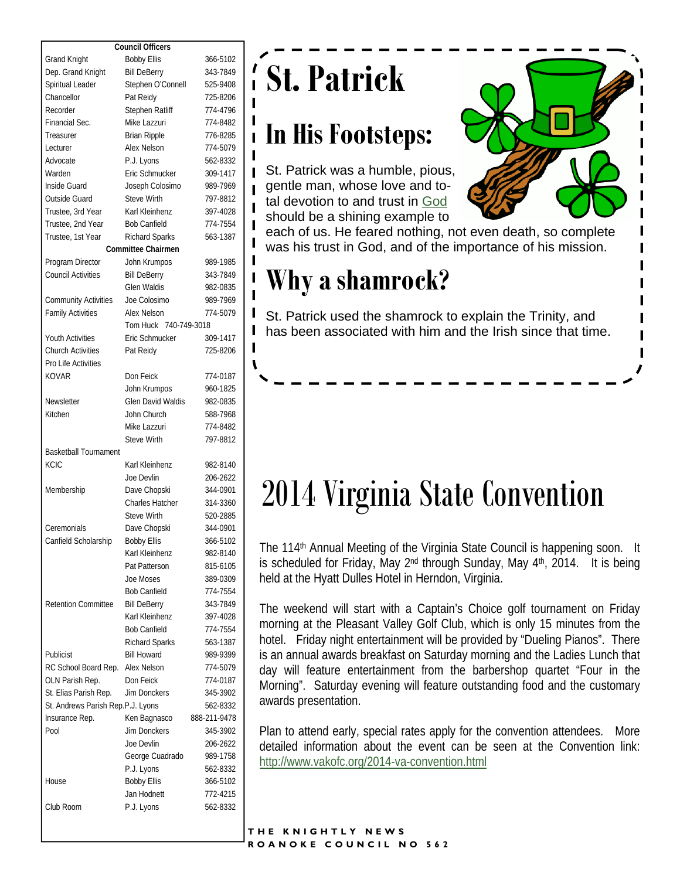| <b>Council Officers</b>           |                           |              |  |  |  |
|-----------------------------------|---------------------------|--------------|--|--|--|
| <b>Grand Knight</b>               | <b>Bobby Ellis</b>        | 366-5102     |  |  |  |
| Dep. Grand Knight                 | <b>Bill DeBerry</b>       | 343-7849     |  |  |  |
| Spiritual Leader                  | Stephen O'Connell         | 525-9408     |  |  |  |
| Chancellor                        | Pat Reidy                 | 725-8206     |  |  |  |
| Recorder                          | Stephen Ratliff           | 774-4796     |  |  |  |
| Financial Sec.                    | Mike Lazzuri              | 774-8482     |  |  |  |
| Treasurer                         | <b>Brian Ripple</b>       | 776-8285     |  |  |  |
| Lecturer                          | Alex Nelson               | 774-5079     |  |  |  |
| Advocate                          | P.J. Lyons                | 562-8332     |  |  |  |
| Warden                            | <b>Eric Schmucker</b>     | 309-1417     |  |  |  |
| Inside Guard                      | Joseph Colosimo           | 989-7969     |  |  |  |
| Outside Guard                     | <b>Steve Wirth</b>        | 797-8812     |  |  |  |
| Trustee, 3rd Year                 | Karl Kleinhenz            |              |  |  |  |
|                                   |                           | 397-4028     |  |  |  |
| Trustee, 2nd Year                 | <b>Bob Canfield</b>       | 774-7554     |  |  |  |
| Trustee, 1st Year                 | <b>Richard Sparks</b>     | 563-1387     |  |  |  |
|                                   | <b>Committee Chairmen</b> |              |  |  |  |
| Program Director                  | John Krumpos              | 989-1985     |  |  |  |
| <b>Council Activities</b>         | <b>Bill DeBerry</b>       | 343-7849     |  |  |  |
|                                   | <b>Glen Waldis</b>        | 982-0835     |  |  |  |
| <b>Community Activities</b>       | Joe Colosimo              | 989-7969     |  |  |  |
| <b>Family Activities</b>          | Alex Nelson               | 774-5079     |  |  |  |
|                                   | Tom Huck 740-749-3018     |              |  |  |  |
| <b>Youth Activities</b>           | <b>Fric Schmucker</b>     | 309-1417     |  |  |  |
| <b>Church Activities</b>          | Pat Reidy                 | 725-8206     |  |  |  |
| Pro Life Activities               |                           |              |  |  |  |
| KOVAR                             | Don Feick                 | 774-0187     |  |  |  |
|                                   | John Krumpos              | 960-1825     |  |  |  |
| Newsletter                        | <b>Glen David Waldis</b>  | 982-0835     |  |  |  |
| Kitchen                           | John Church               | 588-7968     |  |  |  |
|                                   | Mike Lazzuri              | 774-8482     |  |  |  |
|                                   | <b>Steve Wirth</b>        | 797-8812     |  |  |  |
| <b>Basketball Tournament</b>      |                           |              |  |  |  |
| <b>KCIC</b>                       | Karl Kleinhenz            | 982-8140     |  |  |  |
|                                   | Joe Devlin                | 206-2622     |  |  |  |
| Membership                        | Dave Chopski              | 344-0901     |  |  |  |
|                                   | <b>Charles Hatcher</b>    | 314-3360     |  |  |  |
|                                   | <b>Steve Wirth</b>        | 520-2885     |  |  |  |
| Ceremonials                       | Dave Chopski              | 344-0901     |  |  |  |
| Canfield Scholarship              | <b>Bobby Ellis</b>        | 366-5102     |  |  |  |
|                                   | Karl Kleinhenz            | 982-8140     |  |  |  |
|                                   | Pat Patterson             | 815-6105     |  |  |  |
|                                   | Joe Moses                 | 389-0309     |  |  |  |
|                                   | <b>Bob Canfield</b>       |              |  |  |  |
|                                   |                           | 774-7554     |  |  |  |
| <b>Retention Committee</b>        | <b>Bill DeBerry</b>       | 343-7849     |  |  |  |
|                                   | Karl Kleinhenz            | 397-4028     |  |  |  |
|                                   | <b>Bob Canfield</b>       | 774-7554     |  |  |  |
|                                   | <b>Richard Sparks</b>     | 563-1387     |  |  |  |
| Publicist                         | <b>Bill Howard</b>        | 989-9399     |  |  |  |
| RC School Board Rep.              | Alex Nelson               | 774-5079     |  |  |  |
| OLN Parish Rep.                   | Don Feick                 | 774-0187     |  |  |  |
| St. Elias Parish Rep.             | Jim Donckers              | 345-3902     |  |  |  |
| St. Andrews Parish Rep.P.J. Lyons |                           | 562-8332     |  |  |  |
| Insurance Rep.                    | Ken Bagnasco              | 888-211-9478 |  |  |  |
| Pool                              | <b>Jim Donckers</b>       | 345-3902     |  |  |  |
|                                   | Joe Devlin                | 206-2622     |  |  |  |
|                                   | George Cuadrado           | 989-1758     |  |  |  |
|                                   | P.J. Lyons                | 562-8332     |  |  |  |
| House                             | <b>Bobby Ellis</b>        | 366-5102     |  |  |  |
|                                   | Jan Hodnett               | 772-4215     |  |  |  |
| Club Room                         | P.J. Lyons                | 562-8332     |  |  |  |

## **St. Patrick**

#### **In His Footsteps:**

St. Patrick was a humble, pious, gentle man, whose love and total devotion to and trust in God should be a shining example to



each of us. He feared nothing, not even death, so complete was his trust in God, and of the importance of his mission.

### **Why a shamrock?**

St. Patrick used the shamrock to explain the Trinity, and has been associated with him and the Irish since that time.

## 2014 Virginia State Convention

The 114<sup>th</sup> Annual Meeting of the Virginia State Council is happening soon. It is scheduled for Friday, May 2<sup>nd</sup> through Sunday, May 4<sup>th</sup>, 2014. It is being held at the Hyatt Dulles Hotel in Herndon, Virginia.

The weekend will start with a Captain's Choice golf tournament on Friday morning at the Pleasant Valley Golf Club, which is only 15 minutes from the hotel. Friday night entertainment will be provided by "Dueling Pianos". There is an annual awards breakfast on Saturday morning and the Ladies Lunch that day will feature entertainment from the barbershop quartet "Four in the Morning". Saturday evening will feature outstanding food and the customary awards presentation.

Plan to attend early, special rates apply for the convention attendees. More detailed information about the event can be seen at the Convention link: http://www.vakofc.org/2014-va-convention.html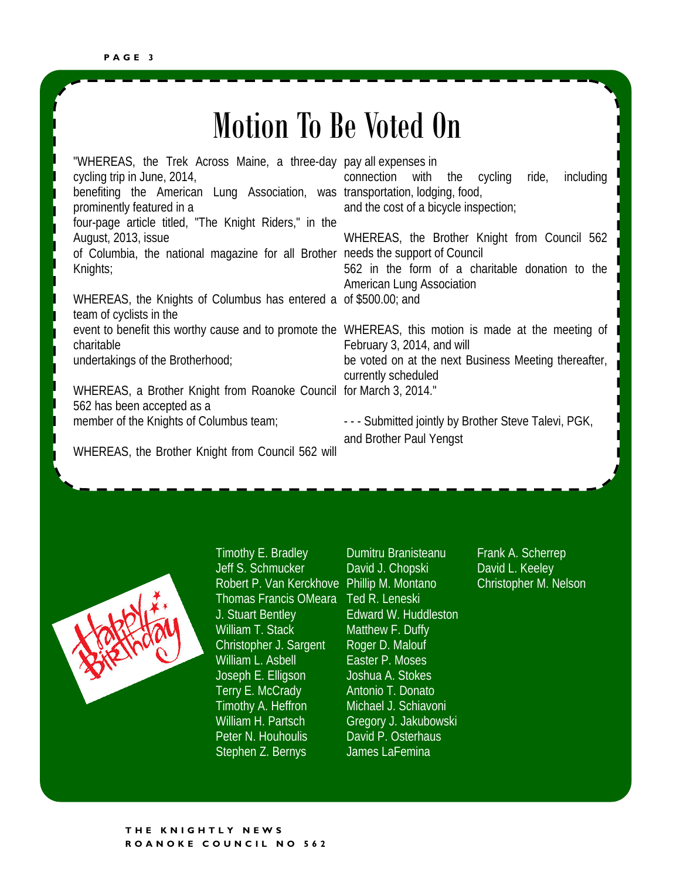### Motion To Be Voted On

"WHEREAS, the Trek Across Maine, a three-day pay all expenses in cycling trip in June, 2014, benefiting the American Lung Association, was transportation, lodging, food, prominently featured in a four-page article titled, "The Knight Riders," in the August, 2013, issue of Columbia, the national magazine for all Brother needs the support of Council Knights; WHEREAS, the Knights of Columbus has entered a of \$500.00; and team of cyclists in the event to benefit this worthy cause and to promote the WHEREAS, this motion is made at the meeting of charitable undertakings of the Brotherhood; WHEREAS, a Brother Knight from Roanoke Council for March 3, 2014." 562 has been accepted as a member of the Knights of Columbus team; connection with the cycling ride, including and the cost of a bicycle inspection; WHEREAS, the Brother Knight from Council 562 562 in the form of a charitable donation to the American Lung Association February 3, 2014, and will be voted on at the next Business Meeting thereafter, currently scheduled - - - Submitted jointly by Brother Steve Talevi, PGK,

WHEREAS, the Brother Knight from Council 562 will



Timothy E. Bradley Jeff S. Schmucker Robert P. Van Kerckhove Phillip M. Montano Thomas Francis OMeara Ted R. Leneski J. Stuart Bentley William T. Stack Christopher J. Sargent William L. Asbell Joseph E. Elligson Terry E. McCrady Timothy A. Heffron William H. Partsch Peter N. Houhoulis Stephen Z. Bernys

Dumitru Branisteanu David J. Chopski Edward W. Huddleston Matthew F. Duffy Roger D. Malouf Easter P. Moses Joshua A. Stokes Antonio T. Donato Michael J. Schiavoni Gregory J. Jakubowski David P. Osterhaus James LaFemina

and Brother Paul Yengst

Frank A. Scherrep David L. Keeley Christopher M. Nelson